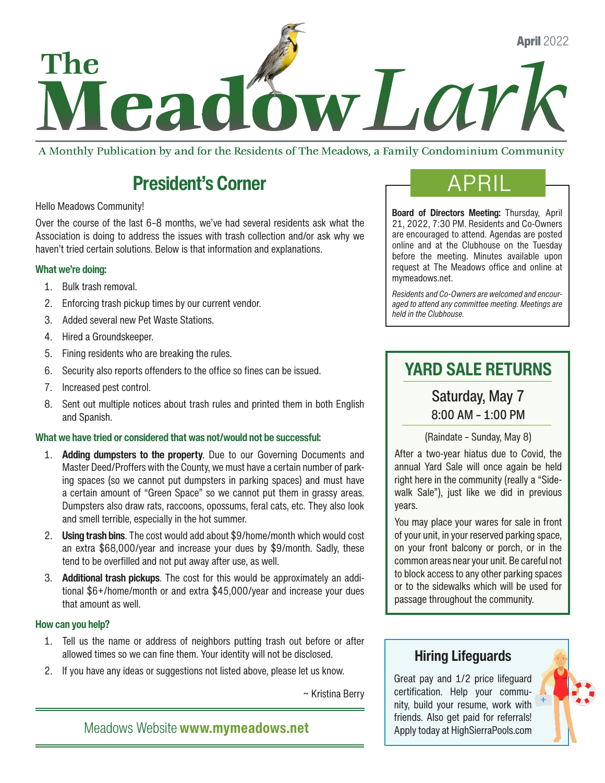

A Monthly Publication by and for the Residents of The Meadows, a Family Condominium Community

# **President's Corner**

#### Hello Meadows Community!

Over the course of the last 6–8 months, we've had several residents ask what the Association is doing to address the issues with trash collection and/or ask why we haven't tried certain solutions. Below is that information and explanations.

#### What we're doing:

- 1. Bulk trash removal.
- 2. Enforcing trash pickup times by our current vendor.
- 3. Added several new Pet Waste Stations.
- 4. Hired a Groundskeeper.
- 5. Fining residents who are breaking the rules.
- 6. Security also reports offenders to the office so fines can be issued.
- 7. Increased pest control.
- 8. Sent out multiple notices about trash rules and printed them in both English and Spanish.

### What we have tried or considered that was not/would not be successful:

- 1. Adding dumpsters to the property. Due to our Governing Documents and Master Deed/Proffers with the County, we must have a certain number of parking spaces (so we cannot put dumpsters in parking spaces) and must have a certain amount of "Green Space" so we cannot put them in grassy areas. Dumpsters also draw rats, raccoons, opossums, feral cats, etc. They also look and smell terrible, especially in the hot summer.
- 2. Using trash bins. The cost would add about \$9/home/month which would cost an extra \$68,000/year and increase your dues by \$9/month. Sadly, these tend to be overfilled and not put away after use, as well.
- 3. Additional trash pickups. The cost for this would be approximately an additional \$6+/home/month or and extra \$45,000/year and increase your dues that amount as well.

#### How can you help?

- 1. Tell us the name or address of neighbors putting trash out before or after allowed times so we can fine them. Your identity will not be disclosed.
- 2. If you have any ideas or suggestions not listed above, please let us know.

~ Kristina Berry

Meadows Website [www.mymeadows.net](http://www.mymeadows.net)

Board of Directors Meeting: Thursday, April 21, 2022, 7:30 PM. Residents and Co-Owners are encouraged to attend. Agendas are posted online and at the Clubhouse on the Tuesday before the meeting. Minutes available upon request at The Meadows office and online at [mymeadows.net.](http://mymeadows.net)

*Residents and Co-Owners are welcomed and encouraged to attend any committee meeting. Meetings are held in the Clubhouse.*

### YARD SALE RETURNS

Saturday, May 7 8:00 AM – 1:00 PM

(Raindate – Sunday, May 8)

After a two-year hiatus due to Covid, the annual Yard Sale will once again be held right here in the community (really a "Sidewalk Sale"), just like we did in previous years.

You may place your wares for sale in front of your unit, in your reserved parking space, on your front balcony or porch, or in the common areas near your unit. Be careful not to block access to any other parking spaces or to the sidewalks which will be used for passage throughout the community.

### Hiring Lifeguards

Great pay and 1/2 price lifeguard certification. Help your community, build your resume, work with friends. Also get paid for referrals! Apply today at [HighSierraPools.com](http://HighSierraPools.com)

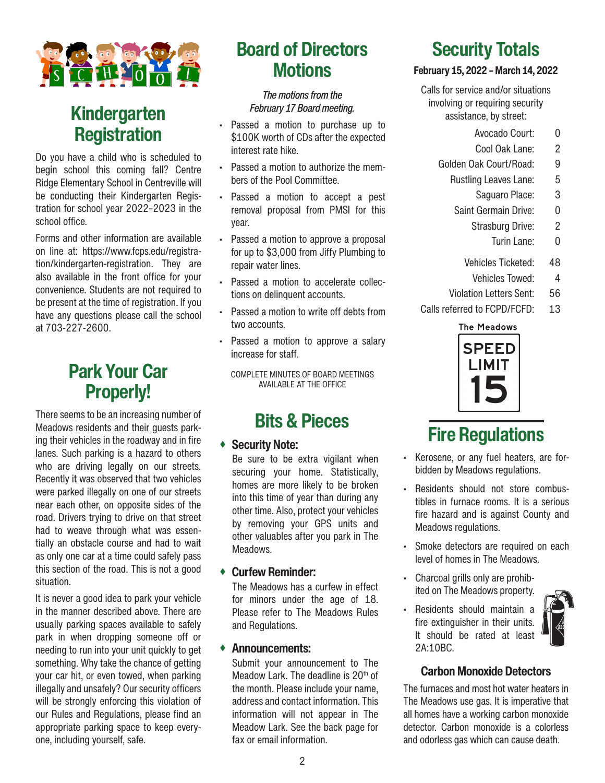

### Kindergarten **Registration**

Do you have a child who is scheduled to begin school this coming fall? Centre Ridge Elementary School in Centreville will be conducting their Kindergarten Registration for school year 2022–2023 in the school office.

Forms and other information are available on line at: https://www.fcps.edu/registration/kindergarten-registration. They are also available in the front office for your convenience. Students are not required to be present at the time of registration. If you have any questions please call the school at 703-227-2600.

### Park Your Car Properly!

There seems to be an increasing number of Meadows residents and their guests parking their vehicles in the roadway and in fire lanes. Such parking is a hazard to others who are driving legally on our streets. Recently it was observed that two vehicles were parked illegally on one of our streets near each other, on opposite sides of the road. Drivers trying to drive on that street had to weave through what was essentially an obstacle course and had to wait as only one car at a time could safely pass this section of the road. This is not a good situation.

It is never a good idea to park your vehicle in the manner described above. There are usually parking spaces available to safely park in when dropping someone off or needing to run into your unit quickly to get something. Why take the chance of getting your car hit, or even towed, when parking illegally and unsafely? Our security officers will be strongly enforcing this violation of our Rules and Regulations, please find an appropriate parking space to keep everyone, including yourself, safe.

## Board of Directors **Motions**

#### *The motions from the February 17 Board meeting.*

- Passed a motion to purchase up to \$100K worth of CDs after the expected interest rate hike.
- Passed a motion to authorize the members of the Pool Committee.
- Passed a motion to accept a pest removal proposal from PMSI for this year.
- Passed a motion to approve a proposal for up to \$3,000 from Jiffy Plumbing to repair water lines.
- Passed a motion to accelerate collections on delinquent accounts.
- Passed a motion to write off debts from two accounts.
- Passed a motion to approve a salary increase for staff.

COMPLETE MINUTES OF BOARD MEETINGS AVAILABLE AT THE OFFICE

## Bits & Pieces

### Security Note:

Be sure to be extra vigilant when securing your home. Statistically, homes are more likely to be broken into this time of year than during any other time. Also, protect your vehicles by removing your GPS units and other valuables after you park in The Meadows.

#### Curfew Reminder:

The Meadows has a curfew in effect for minors under the age of 18. Please refer to The Meadows Rules and Regulations.

#### Announcements:

Submit your announcement to The Meadow Lark. The deadline is 20<sup>th</sup> of the month. Please include your name, address and contact information. This information will not appear in The Meadow Lark. See the back page for fax or email information.

# Security Totals

#### February 15, 2022 – March 14, 2022

Calls for service and/or situations involving or requiring security assistance, by street:

- Avocado Court: 0
- Cool Oak Lane: 2
- Golden Oak Court/Road: 9
	- Rustling Leaves Lane: 5
		- Saguaro Place: 3
	- Saint Germain Drive: 0
		- Strasburg Drive: 2
			- Turin Lane: 0
		- Vehicles Ticketed: 48
			- Vehicles Towed: 4
	- Violation Letters Sent: 56
- Calls referred to FCPD/FCFD: 13

#### **The Meadows**



# Fire Regulations

- Kerosene, or any fuel heaters, are forbidden by Meadows regulations.
- Residents should not store combustibles in furnace rooms. It is a serious fire hazard and is against County and Meadows regulations.
- Smoke detectors are required on each level of homes in The Meadows.
- Charcoal grills only are prohibited on The Meadows property.
- Residents should maintain a fire extinguisher in their units. It should be rated at least 2A:10BC.



### Carbon Monoxide Detectors

The furnaces and most hot water heaters in The Meadows use gas. It is imperative that all homes have a working carbon monoxide detector. Carbon monoxide is a colorless and odorless gas which can cause death.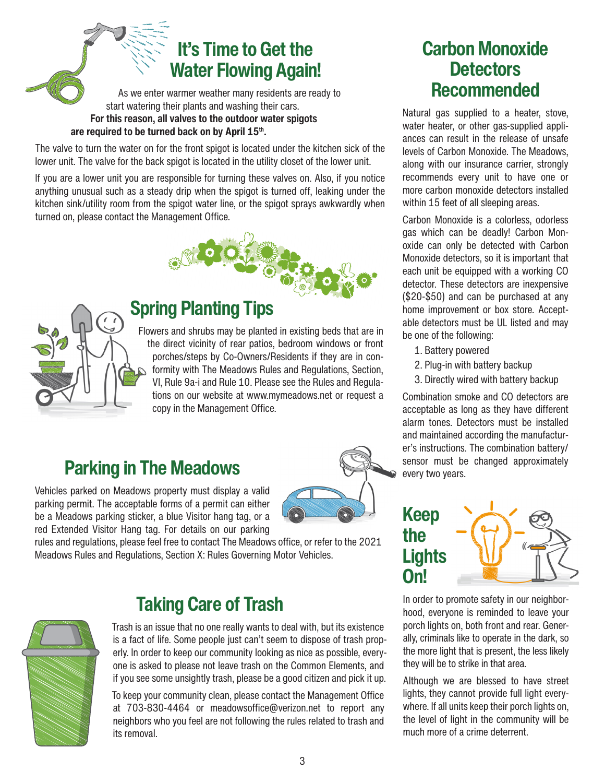# It's Time to Get the Water Flowing Again!

As we enter warmer weather many residents are ready to start watering their plants and washing their cars. For this reason, all valves to the outdoor water spigots are required to be turned back on by April 15th.

The valve to turn the water on for the front spigot is located under the kitchen sick of the lower unit. The valve for the back spigot is located in the utility closet of the lower unit.

If you are a lower unit you are responsible for turning these valves on. Also, if you notice anything unusual such as a steady drip when the spigot is turned off, leaking under the kitchen sink/utility room from the spigot water line, or the spigot sprays awkwardly when turned on, please contact the Management Office.





### Spring Planting Tips

Flowers and shrubs may be planted in existing beds that are in the direct vicinity of rear patios, bedroom windows or front porches/steps by Co-Owners/Residents if they are in conformity with The Meadows Rules and Regulations, Section, VI, Rule 9a-i and Rule 10. Please see the Rules and Regulations on our website at [www.mymeadows.net](http://www.mymeadows.net) or request a copy in the Management Office.

# Parking in The Meadows

Vehicles parked on Meadows property must display a valid parking permit. The acceptable forms of a permit can either be a Meadows parking sticker, a blue Visitor hang tag, or a red Extended Visitor Hang tag. For details on our parking



rules and regulations, please feel free to contact The Meadows office, or refer to the 2021 Meadows Rules and Regulations, Section X: Rules Governing Motor Vehicles.

### Carbon Monoxide **Detectors** Recommended

Natural gas supplied to a heater, stove, water heater, or other gas-supplied appliances can result in the release of unsafe levels of Carbon Monoxide. The Meadows, along with our insurance carrier, strongly recommends every unit to have one or more carbon monoxide detectors installed within 15 feet of all sleeping areas.

Carbon Monoxide is a colorless, odorless gas which can be deadly! Carbon Monoxide can only be detected with Carbon Monoxide detectors, so it is important that each unit be equipped with a working CO detector. These detectors are inexpensive (\$20-\$50) and can be purchased at any home improvement or box store. Acceptable detectors must be UL listed and may be one of the following:

- 1. Battery powered
- 2. Plug-in with battery backup
- 3. Directly wired with battery backup

Combination smoke and CO detectors are acceptable as long as they have different alarm tones. Detectors must be installed and maintained according the manufacturer's instructions. The combination battery/ sensor must be changed approximately every two years.

# Keep the **Lights** On!

In order to promote safety in our neighborhood, everyone is reminded to leave your porch lights on, both front and rear. Generally, criminals like to operate in the dark, so the more light that is present, the less likely they will be to strike in that area.

Although we are blessed to have street lights, they cannot provide full light everywhere. If all units keep their porch lights on, the level of light in the community will be much more of a crime deterrent.



## Taking Care of Trash

Trash is an issue that no one really wants to deal with, but its existence is a fact of life. Some people just can't seem to dispose of trash properly. In order to keep our community looking as nice as possible, everyone is asked to please not leave trash on the Common Elements, and if you see some unsightly trash, please be a good citizen and pick it up.

To keep your community clean, please contact the Management Office at 703-830-4464 or [meadowsoffice@verizon.net](mailto:meadowsoffice@verizon.net) to report any neighbors who you feel are not following the rules related to trash and its removal.